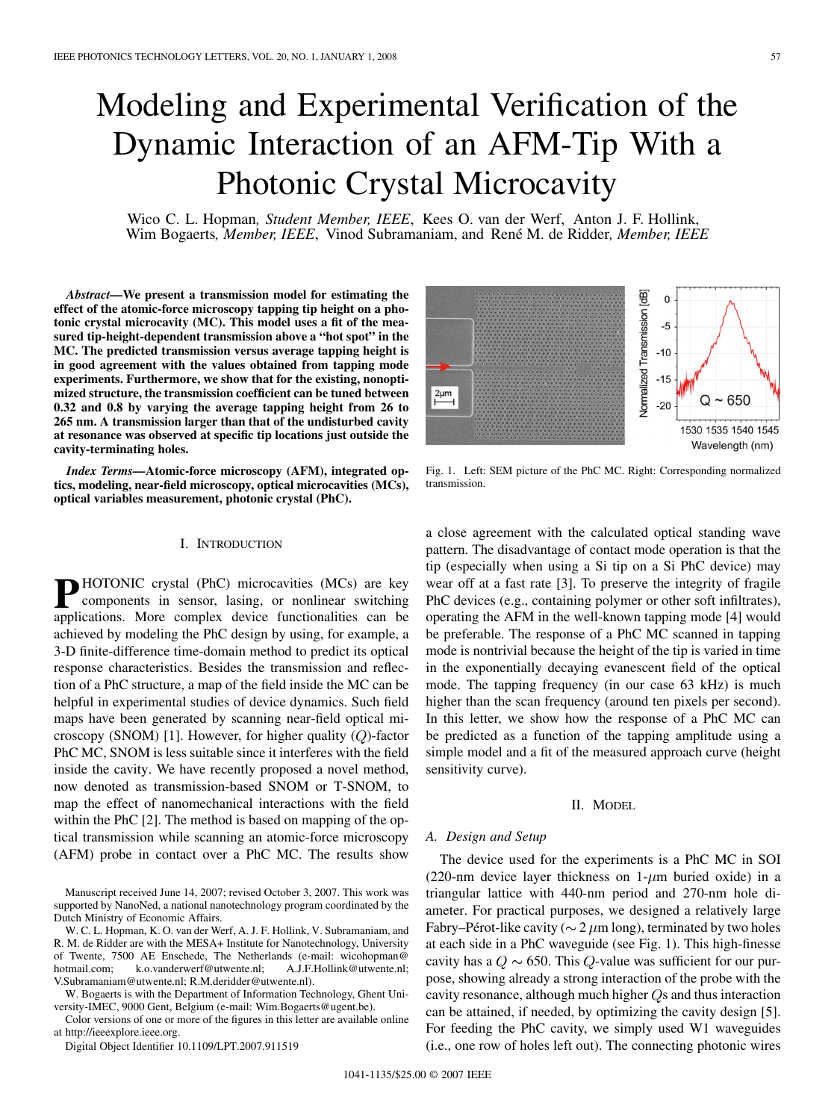# Modeling and Experimental Verification of the Dynamic Interaction of an AFM-Tip With a Photonic Crystal Microcavity

Wico C. L. Hopman*, Student Member, IEEE*, Kees O. van der Werf, Anton J. F. Hollink, Wim Bogaerts*, Member, IEEE*, Vinod Subramaniam, and René M. de Ridder*, Member, IEEE*

*Abstract—***We present a transmission model for estimating the effect of the atomic-force microscopy tapping tip height on a photonic crystal microcavity (MC). This model uses a fit of the measured tip-height-dependent transmission above a "hot spot" in the MC. The predicted transmission versus average tapping height is in good agreement with the values obtained from tapping mode experiments. Furthermore, we show that for the existing, nonoptimized structure, the transmission coefficient can be tuned between 0.32 and 0.8 by varying the average tapping height from 26 to 265 nm. A transmission larger than that of the undisturbed cavity at resonance was observed at specific tip locations just outside the cavity-terminating holes.**

*Index Terms—***Atomic-force microscopy (AFM), integrated optics, modeling, near-field microscopy, optical microcavities (MCs), optical variables measurement, photonic crystal (PhC).**

## I. INTRODUCTION

**P** HOTONIC crystal (PhC) microcavities (MCs) are key components in sensor, lasing, or nonlinear switching applications. More complex device functionalities can be achieved by modeling the PhC design by using, for example, a 3-D finite-difference time-domain method to predict its optical response characteristics. Besides the transmission and reflection of a PhC structure, a map of the field inside the MC can be helpful in experimental studies of device dynamics. Such field maps have been generated by scanning near-field optical microscopy (SNOM) [1]. However, for higher quality  $(Q)$ -factor PhC MC, SNOM is less suitable since it interferes with the field inside the cavity. We have recently proposed a novel method, now denoted as transmission-based SNOM or T-SNOM, to map the effect of nanomechanical interactions with the field within the PhC [2]. The method is based on mapping of the optical transmission while scanning an atomic-force microscopy (AFM) probe in contact over a PhC MC. The results show

Manuscript received June 14, 2007; revised October 3, 2007. This work was supported by NanoNed, a national nanotechnology program coordinated by the Dutch Ministry of Economic Affairs.

W. C. L. Hopman, K. O. van der Werf, A. J. F. Hollink, V. Subramaniam, and R. M. de Ridder are with the MESA+ Institute for Nanotechnology, University of Twente, 7500 AE Enschede, The Netherlands (e-mail: wicohopman@ hotmail.com; k.o.vanderwerf@utwente.nl; A.J.F.Hollink@utwente.nl; V.Subramaniam@utwente.nl; R.M.deridder@utwente.nl).

W. Bogaerts is with the Department of Information Technology, Ghent University-IMEC, 9000 Gent, Belgium (e-mail: Wim.Bogaerts@ugent.be).

Color versions of one or more of the figures in this letter are available online at http://ieeexplore.ieee.org.

Digital Object Identifier 10.1109/LPT.2007.911519



Fig. 1. Left: SEM picture of the PhC MC. Right: Corresponding normalized transmission.

a close agreement with the calculated optical standing wave pattern. The disadvantage of contact mode operation is that the tip (especially when using a Si tip on a Si PhC device) may wear off at a fast rate [3]. To preserve the integrity of fragile PhC devices (e.g., containing polymer or other soft infiltrates), operating the AFM in the well-known tapping mode [4] would be preferable. The response of a PhC MC scanned in tapping mode is nontrivial because the height of the tip is varied in time in the exponentially decaying evanescent field of the optical mode. The tapping frequency (in our case 63 kHz) is much higher than the scan frequency (around ten pixels per second). In this letter, we show how the response of a PhC MC can be predicted as a function of the tapping amplitude using a simple model and a fit of the measured approach curve (height sensitivity curve).

#### II. MODEL

### *A. Design and Setup*

The device used for the experiments is a PhC MC in SOI (220-nm device layer thickness on  $1-\mu m$  buried oxide) in a triangular lattice with 440-nm period and 270-nm hole diameter. For practical purposes, we designed a relatively large Fabry–Pérot-like cavity ( $\sim$  2  $\mu$ m long), terminated by two holes at each side in a PhC waveguide (see Fig. 1). This high-finesse cavity has a  $Q \sim 650$ . This  $Q$ -value was sufficient for our purpose, showing already a strong interaction of the probe with the cavity resonance, although much higher  $Q_s$  and thus interaction can be attained, if needed, by optimizing the cavity design [5]. For feeding the PhC cavity, we simply used W1 waveguides (i.e., one row of holes left out). The connecting photonic wires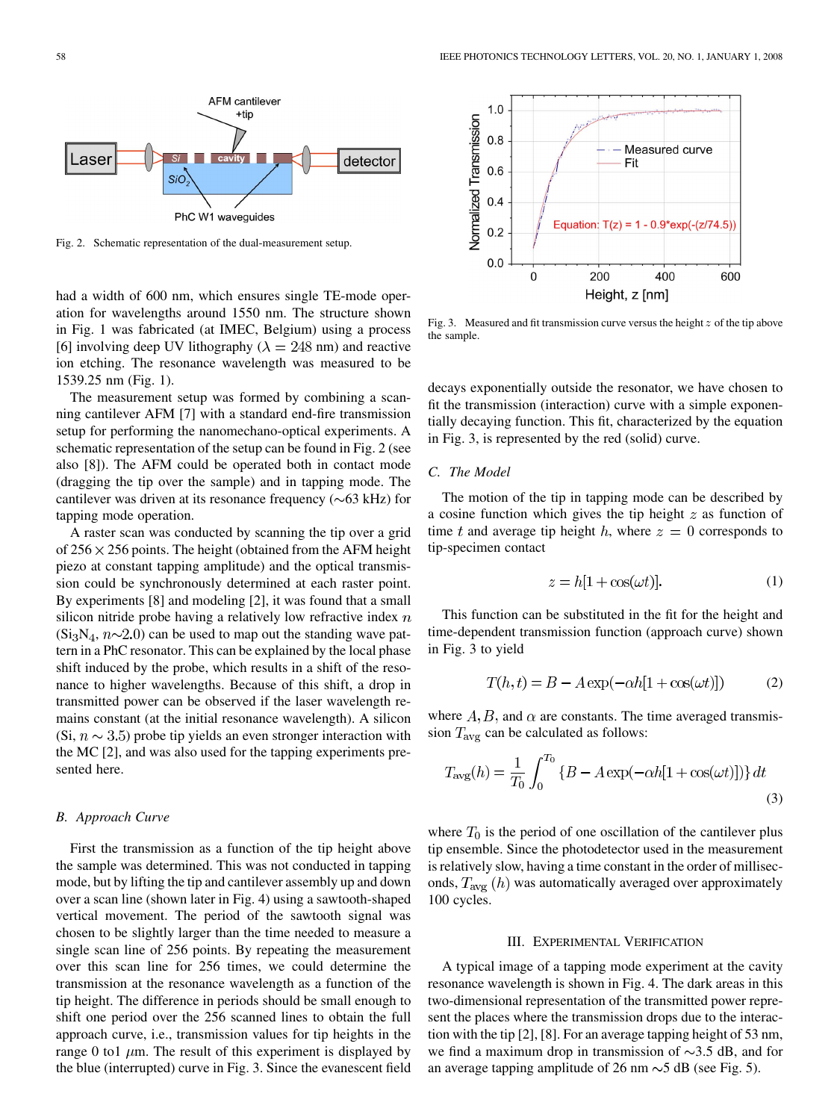

Fig. 2. Schematic representation of the dual-measurement setup.

had a width of 600 nm, which ensures single TE-mode operation for wavelengths around 1550 nm. The structure shown in Fig. 1 was fabricated (at IMEC, Belgium) using a process [6] involving deep UV lithography ( $\lambda = 248$  nm) and reactive ion etching. The resonance wavelength was measured to be 1539.25 nm (Fig. 1).

The measurement setup was formed by combining a scanning cantilever AFM [7] with a standard end-fire transmission setup for performing the nanomechano-optical experiments. A schematic representation of the setup can be found in Fig. 2 (see also [8]). The AFM could be operated both in contact mode (dragging the tip over the sample) and in tapping mode. The cantilever was driven at its resonance frequency  $(\sim 63 \text{ kHz})$  for tapping mode operation.

A raster scan was conducted by scanning the tip over a grid of  $256 \times 256$  points. The height (obtained from the AFM height piezo at constant tapping amplitude) and the optical transmission could be synchronously determined at each raster point. By experiments [8] and modeling [2], it was found that a small silicon nitride probe having a relatively low refractive index  $n$  $(Si<sub>3</sub>N<sub>4</sub>, n<sub>2</sub>, 0)$  can be used to map out the standing wave pattern in a PhC resonator. This can be explained by the local phase shift induced by the probe, which results in a shift of the resonance to higher wavelengths. Because of this shift, a drop in transmitted power can be observed if the laser wavelength remains constant (at the initial resonance wavelength). A silicon (Si,  $n \sim 3.5$ ) probe tip yields an even stronger interaction with the MC [2], and was also used for the tapping experiments presented here.

## *B. Approach Curve*

First the transmission as a function of the tip height above the sample was determined. This was not conducted in tapping mode, but by lifting the tip and cantilever assembly up and down over a scan line (shown later in Fig. 4) using a sawtooth-shaped vertical movement. The period of the sawtooth signal was chosen to be slightly larger than the time needed to measure a single scan line of 256 points. By repeating the measurement over this scan line for 256 times, we could determine the transmission at the resonance wavelength as a function of the tip height. The difference in periods should be small enough to shift one period over the 256 scanned lines to obtain the full approach curve, i.e., transmission values for tip heights in the range 0 to1  $\mu$ m. The result of this experiment is displayed by the blue (interrupted) curve in Fig. 3. Since the evanescent field



Fig. 3. Measured and fit transmission curve versus the height  $z$  of the tip above the sample.

decays exponentially outside the resonator, we have chosen to fit the transmission (interaction) curve with a simple exponentially decaying function. This fit, characterized by the equation in Fig. 3, is represented by the red (solid) curve.

## *C. The Model*

The motion of the tip in tapping mode can be described by a cosine function which gives the tip height  $z$  as function of time t and average tip height h, where  $z = 0$  corresponds to tip-specimen contact

$$
z = h[1 + \cos(\omega t)].
$$
 (1)

This function can be substituted in the fit for the height and time-dependent transmission function (approach curve) shown in Fig. 3 to yield

$$
T(h,t) = B - A \exp(-\alpha h[1 + \cos(\omega t)])
$$
 (2)

where  $A, B$ , and  $\alpha$  are constants. The time averaged transmission  $T_{\text{avg}}$  can be calculated as follows:

$$
T_{\text{avg}}(h) = \frac{1}{T_0} \int_0^{T_0} \{ B - A \exp(-\alpha h [1 + \cos(\omega t)] ) \} dt
$$
\n(3)

where  $T_0$  is the period of one oscillation of the cantilever plus tip ensemble. Since the photodetector used in the measurement is relatively slow, having a time constant in the order of milliseconds,  $T_{\text{avg}}(h)$  was automatically averaged over approximately 100 cycles.

## III. EXPERIMENTAL VERIFICATION

A typical image of a tapping mode experiment at the cavity resonance wavelength is shown in Fig. 4. The dark areas in this two-dimensional representation of the transmitted power represent the places where the transmission drops due to the interaction with the tip [2], [8]. For an average tapping height of 53 nm, we find a maximum drop in transmission of  $\sim$ 3.5 dB, and for an average tapping amplitude of 26 nm  $\sim$  5 dB (see Fig. 5).